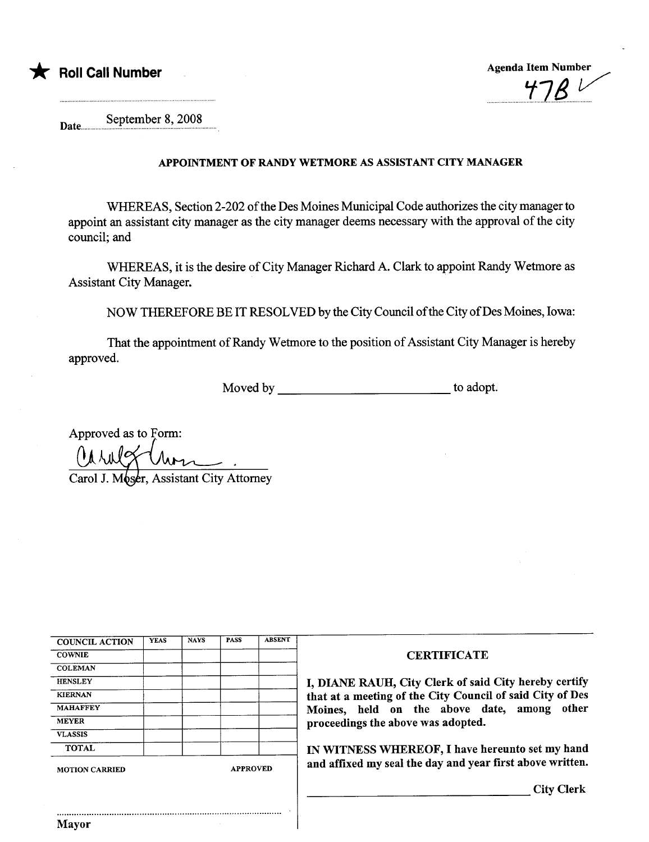



Date... September 8, 2008

## APPOINTMENT OF RANDY WETMORE AS ASSISTANT CITY MANAGER

WHEREAS, Section 2-202 of the Des Moines Municipal Code authorizes the city manager to appoint an assistant city manager as the city manager deems necessary with the approval of the city council; and

WHEREAS, it is the desire of City Manager Richard A. Clark to appoint Randy Wetmore as Assistant City Manager.

NOW THEREFORE BE IT RESOLVED by the City Council of the City of Des Moines, Iowa:

That the appointment of Randy Wetmore to the position of Assistant City Manager is hereby approved.

Moved by to adopt.

Approved as to Form: Carol J. Moser, Assistant City Attorney

| <b>COUNCIL ACTION</b> | <b>YEAS</b> | <b>NAYS</b> | <b>PASS</b>     | <b>ABSENT</b> |
|-----------------------|-------------|-------------|-----------------|---------------|
| <b>COWNIE</b>         |             |             |                 |               |
| <b>COLEMAN</b>        |             |             |                 |               |
| <b>HENSLEY</b>        |             |             |                 |               |
| <b>KIERNAN</b>        |             |             |                 |               |
| <b>MAHAFFEY</b>       |             |             |                 |               |
| <b>MEYER</b>          |             |             |                 |               |
| <b>VLASSIS</b>        |             |             |                 |               |
| <b>TOTAL</b>          |             |             |                 |               |
| <b>MOTION CARRIED</b> |             |             | <b>APPROVED</b> |               |

..........................................................................................

## **CERTIFICATE**

I, DIANE RAUH, City Clerk of said City hereby certify that at a meeting of the City Council of said City of Des Moines, held on the above date, among other proceedings the above was adopted.

IN WITNESS WHEREOF, I have hereunto set my hand and affixed my seal the day and year first above written.

City Clerk